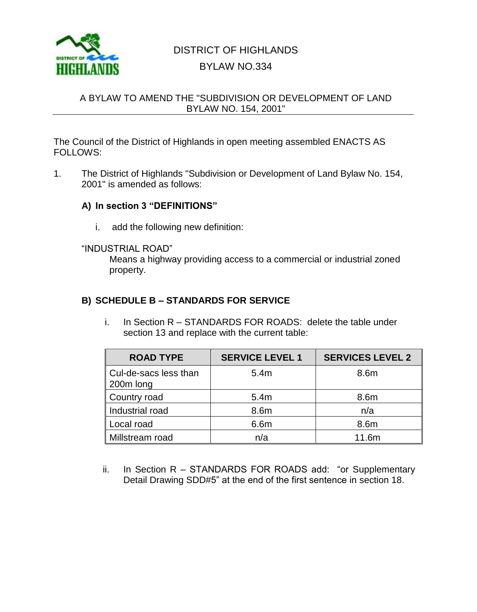

# DISTRICT OF HIGHLANDS BYLAW NO.334

### A BYLAW TO AMEND THE "SUBDIVISION OR DEVELOPMENT OF LAND BYLAW NO. 154, 2001"

The Council of the District of Highlands in open meeting assembled ENACTS AS FOLLOWS:

1. The District of Highlands "Subdivision or Development of Land Bylaw No. 154, 2001" is amended as follows:

#### **A) In section 3 "DEFINITIONS"**

i. add the following new definition:

#### "INDUSTRIAL ROAD"

Means a highway providing access to a commercial or industrial zoned property.

## **B) SCHEDULE B – STANDARDS FOR SERVICE**

i. In Section R – STANDARDS FOR ROADS: delete the table under section 13 and replace with the current table:

| <b>ROAD TYPE</b>                     | <b>SERVICE LEVEL 1</b> | <b>SERVICES LEVEL 2</b> |
|--------------------------------------|------------------------|-------------------------|
| ∥ Cul-de-sacs less than<br>200m long | 5.4m                   | 8.6m                    |
| Country road                         | 5.4m                   | 8.6m                    |
| Industrial road                      | 8.6m                   | n/a                     |
| Local road                           | 6.6m                   | 8.6m                    |
| Millstream road                      | n/a                    | 11.6m                   |

ii. In Section R – STANDARDS FOR ROADS add: "or Supplementary Detail Drawing SDD#5" at the end of the first sentence in section 18.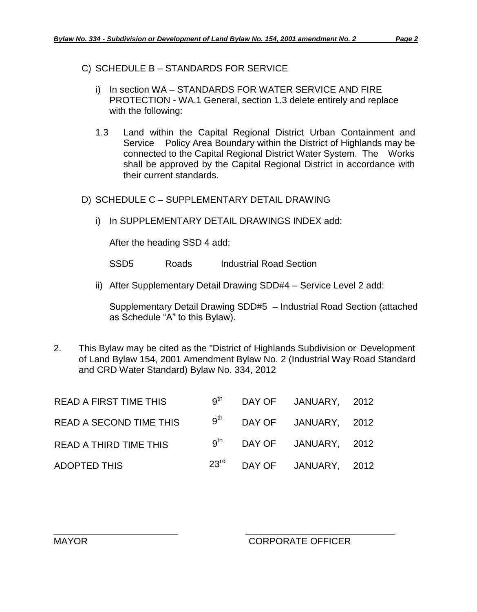C) SCHEDULE B – STANDARDS FOR SERVICE

- i) In section WA STANDARDS FOR WATER SERVICE AND FIRE PROTECTION - WA.1 General, section 1.3 delete entirely and replace with the following:
- 1.3 Land within the Capital Regional District Urban Containment and Service Policy Area Boundary within the District of Highlands may be connected to the Capital Regional District Water System. The Works shall be approved by the Capital Regional District in accordance with their current standards.
- D) SCHEDULE C SUPPLEMENTARY DETAIL DRAWING
	- i) In SUPPLEMENTARY DETAIL DRAWINGS INDEX add:

After the heading SSD 4 add:

SSD5 Roads Industrial Road Section

ii) After Supplementary Detail Drawing SDD#4 – Service Level 2 add:

Supplementary Detail Drawing SDD#5 – Industrial Road Section (attached as Schedule "A" to this Bylaw).

2. This Bylaw may be cited as the "District of Highlands Subdivision or Development of Land Bylaw 154, 2001 Amendment Bylaw No. 2 (Industrial Way Road Standard and CRD Water Standard) Bylaw No. 334, 2012

| <b>READ A FIRST TIME THIS</b>  |  | $9th$ DAY OF JANUARY, 2012            |  |
|--------------------------------|--|---------------------------------------|--|
| <b>READ A SECOND TIME THIS</b> |  | $9^{th}$ DAY OF JANUARY, 2012         |  |
| <b>READ A THIRD TIME THIS</b>  |  | $9th$ DAY OF JANUARY, 2012            |  |
| <b>ADOPTED THIS</b>            |  | 23 <sup>rd</sup> DAY OF JANUARY, 2012 |  |